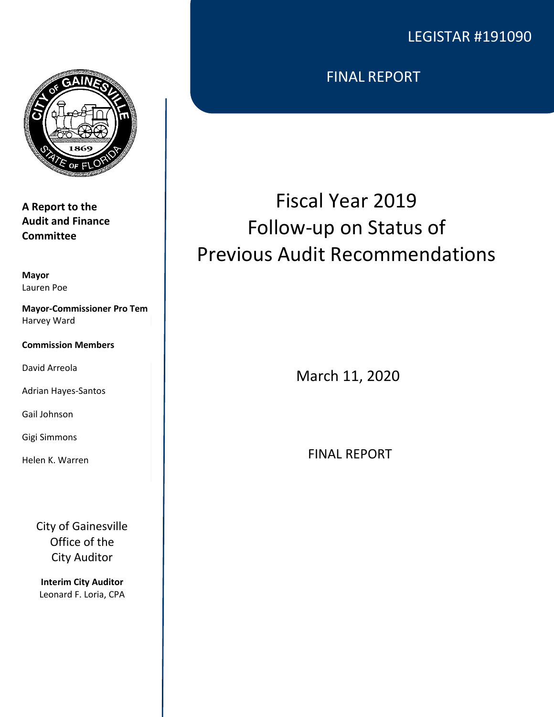# LEGISTAR #191090



**A Report to the Audit and Finance Committee**

**Mayor** Lauren Poe

**Mayor-Commissioner Pro Tem** Harvey Ward

**Commission Members**

David Arreola

Adrian Hayes-Santos

Gail Johnson

Gigi Simmons

Helen K. Warren

City of Gainesville Office of the City Auditor

**Interim City Auditor** Leonard F. Loria, CPA FINAL REPORT

# Fiscal Year 2019 Follow-up on Status of Previous Audit Recommendations

March 11, 2020

FINAL REPORT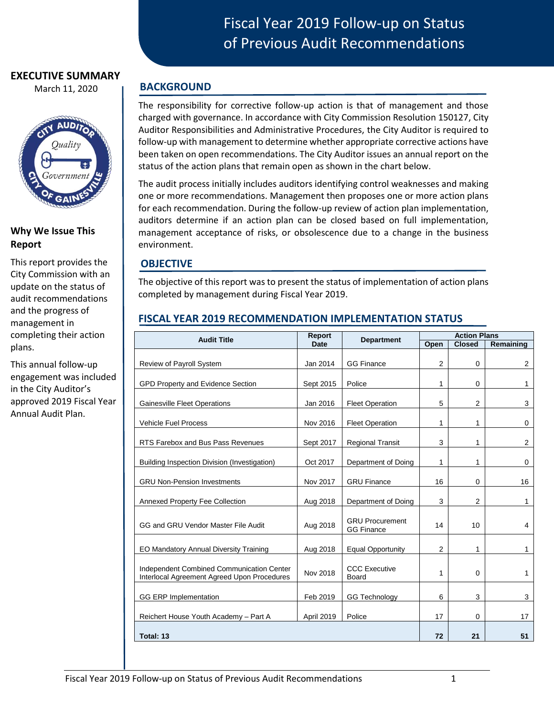#### **EXECUTIVE SUMMARY**

March 11, 2020



# **Why We Issue This Report**

This report provides the City Commission with an update on the status of audit recommendations and the progress of management in completing their action plans.

This annual follow-up engagement was included in the City Auditor's approved 2019 Fiscal Year Annual Audit Plan.

# Fiscal Year 2019 Follow-up on Status of Previous Audit Recommendations

# **BACKGROUND**

The responsibility for corrective follow-up action is that of management and those charged with governance. In accordance with City Commission Resolution 150127, City Auditor Responsibilities and Administrative Procedures, the City Auditor is required to follow-up with management to determine whether appropriate corrective actions have been taken on open recommendations. The City Auditor issues an annual report on the status of the action plans that remain open as shown in the chart below.

The audit process initially includes auditors identifying control weaknesses and making one or more recommendations. Management then proposes one or more action plans for each recommendation. During the follow-up review of action plan implementation, auditors determine if an action plan can be closed based on full implementation, management acceptance of risks, or obsolescence due to a change in the business environment.

# **OBJECTIVE**

The objective of this report was to present the status of implementation of action plans completed by management during Fiscal Year 2019.

# **FISCAL YEAR 2019 RECOMMENDATION IMPLEMENTATION STATUS**

| <b>Audit Title</b>                                                                       | <b>Report</b><br><b>Date</b> | <b>Department</b>                           | <b>Action Plans</b> |                |                |
|------------------------------------------------------------------------------------------|------------------------------|---------------------------------------------|---------------------|----------------|----------------|
|                                                                                          |                              |                                             | Open                | <b>Closed</b>  | Remaining      |
| Review of Payroll System                                                                 | Jan 2014                     | <b>GG Finance</b>                           | $\overline{2}$      | $\Omega$       | $\overline{2}$ |
| GPD Property and Evidence Section                                                        | Sept 2015                    | Police                                      | 1                   | $\Omega$       | $\mathbf{1}$   |
| <b>Gainesville Fleet Operations</b>                                                      | Jan 2016                     | <b>Fleet Operation</b>                      | 5                   | $\overline{2}$ | 3              |
| <b>Vehicle Fuel Process</b>                                                              | Nov 2016                     | <b>Fleet Operation</b>                      | 1                   | 1              | 0              |
| RTS Farebox and Bus Pass Revenues                                                        | Sept 2017                    | <b>Regional Transit</b>                     | 3                   | 1              | $\overline{2}$ |
| Building Inspection Division (Investigation)                                             | Oct 2017                     | Department of Doing                         | 1                   | 1              | 0              |
| <b>GRU Non-Pension Investments</b>                                                       | Nov 2017                     | <b>GRU Finance</b>                          | 16                  | 0              | 16             |
| <b>Annexed Property Fee Collection</b>                                                   | Aug 2018                     | Department of Doing                         | 3                   | 2              | $\mathbf{1}$   |
| GG and GRU Vendor Master File Audit                                                      | Aug 2018                     | <b>GRU Procurement</b><br><b>GG Finance</b> | 14                  | 10             | 4              |
| <b>EO Mandatory Annual Diversity Training</b>                                            | Aug 2018                     | <b>Equal Opportunity</b>                    | 2                   | 1              | $\mathbf{1}$   |
| Independent Combined Communication Center<br>Interlocal Agreement Agreed Upon Procedures | Nov 2018                     | <b>CCC Executive</b><br>Board               | 1                   | $\Omega$       | $\mathbf{1}$   |
| <b>GG ERP Implementation</b>                                                             | Feb 2019                     | <b>GG Technology</b>                        | 6                   | 3              | 3              |
| Reichert House Youth Academy - Part A                                                    | <b>April 2019</b>            | Police                                      | 17                  | 0              | 17             |
| Total: 13                                                                                |                              |                                             | 72                  | 21             | 51             |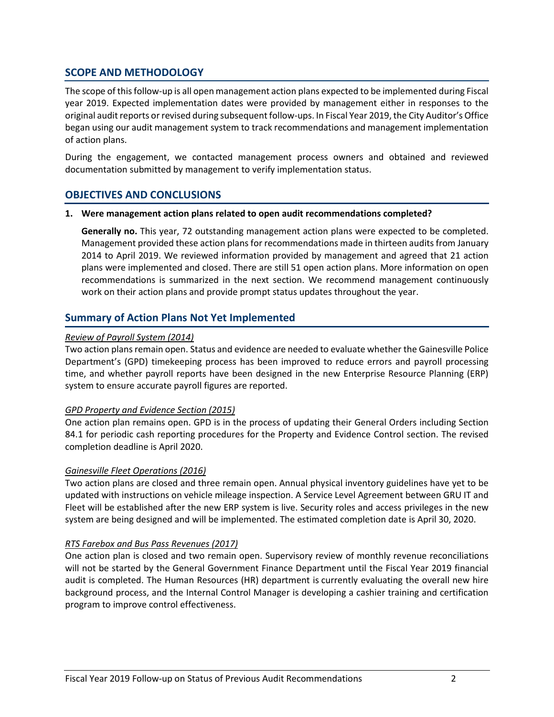# **SCOPE AND METHODOLOGY**

The scope of this follow-up is all open management action plans expected to be implemented during Fiscal year 2019. Expected implementation dates were provided by management either in responses to the original audit reports or revised during subsequent follow-ups. In Fiscal Year 2019, the City Auditor's Office began using our audit management system to track recommendations and management implementation of action plans.

During the engagement, we contacted management process owners and obtained and reviewed documentation submitted by management to verify implementation status.

## **OBJECTIVES AND CONCLUSIONS**

#### **1. Were management action plans related to open audit recommendations completed?**

**Generally no.** This year, 72 outstanding management action plans were expected to be completed. Management provided these action plans for recommendations made in thirteen audits from January 2014 to April 2019. We reviewed information provided by management and agreed that 21 action plans were implemented and closed. There are still 51 open action plans. More information on open recommendations is summarized in the next section. We recommend management continuously work on their action plans and provide prompt status updates throughout the year.

# **Summary of Action Plans Not Yet Implemented**

#### *Review of Payroll System (2014)*

Two action plans remain open. Status and evidence are needed to evaluate whether the Gainesville Police Department's (GPD) timekeeping process has been improved to reduce errors and payroll processing time, and whether payroll reports have been designed in the new Enterprise Resource Planning (ERP) system to ensure accurate payroll figures are reported.

#### *GPD Property and Evidence Section (2015)*

One action plan remains open. GPD is in the process of updating their General Orders including Section 84.1 for periodic cash reporting procedures for the Property and Evidence Control section. The revised completion deadline is April 2020.

#### *Gainesville Fleet Operations (2016)*

Two action plans are closed and three remain open. Annual physical inventory guidelines have yet to be updated with instructions on vehicle mileage inspection. A Service Level Agreement between GRU IT and Fleet will be established after the new ERP system is live. Security roles and access privileges in the new system are being designed and will be implemented. The estimated completion date is April 30, 2020.

#### *RTS Farebox and Bus Pass Revenues (2017)*

One action plan is closed and two remain open. Supervisory review of monthly revenue reconciliations will not be started by the General Government Finance Department until the Fiscal Year 2019 financial audit is completed. The Human Resources (HR) department is currently evaluating the overall new hire background process, and the Internal Control Manager is developing a cashier training and certification program to improve control effectiveness.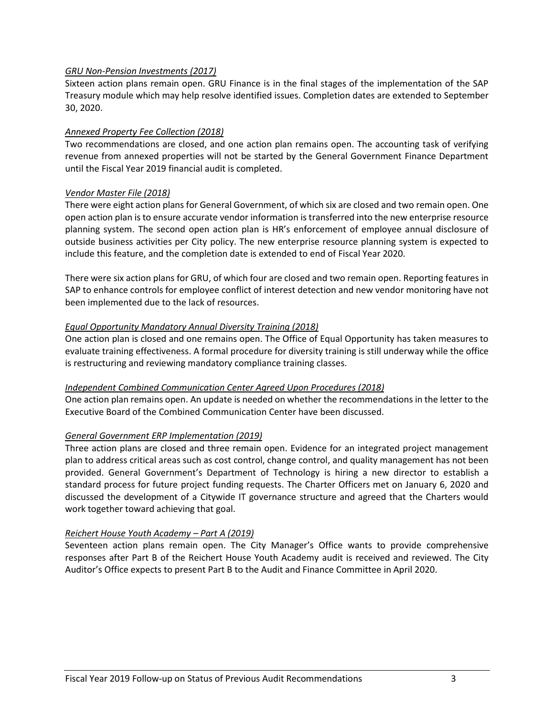#### *GRU Non-Pension Investments (2017)*

Sixteen action plans remain open. GRU Finance is in the final stages of the implementation of the SAP Treasury module which may help resolve identified issues. Completion dates are extended to September 30, 2020.

#### *Annexed Property Fee Collection (2018)*

Two recommendations are closed, and one action plan remains open. The accounting task of verifying revenue from annexed properties will not be started by the General Government Finance Department until the Fiscal Year 2019 financial audit is completed.

#### *Vendor Master File (2018)*

There were eight action plans for General Government, of which six are closed and two remain open. One open action plan is to ensure accurate vendor information is transferred into the new enterprise resource planning system. The second open action plan is HR's enforcement of employee annual disclosure of outside business activities per City policy. The new enterprise resource planning system is expected to include this feature, and the completion date is extended to end of Fiscal Year 2020.

There were six action plans for GRU, of which four are closed and two remain open. Reporting features in SAP to enhance controls for employee conflict of interest detection and new vendor monitoring have not been implemented due to the lack of resources.

#### *Equal Opportunity Mandatory Annual Diversity Training (2018)*

One action plan is closed and one remains open. The Office of Equal Opportunity has taken measures to evaluate training effectiveness. A formal procedure for diversity training is still underway while the office is restructuring and reviewing mandatory compliance training classes.

#### *Independent Combined Communication Center Agreed Upon Procedures (2018)*

One action plan remains open. An update is needed on whether the recommendations in the letter to the Executive Board of the Combined Communication Center have been discussed.

## *General Government ERP Implementation (2019)*

Three action plans are closed and three remain open. Evidence for an integrated project management plan to address critical areas such as cost control, change control, and quality management has not been provided. General Government's Department of Technology is hiring a new director to establish a standard process for future project funding requests. The Charter Officers met on January 6, 2020 and discussed the development of a Citywide IT governance structure and agreed that the Charters would work together toward achieving that goal.

## *Reichert House Youth Academy – Part A (2019)*

Seventeen action plans remain open. The City Manager's Office wants to provide comprehensive responses after Part B of the Reichert House Youth Academy audit is received and reviewed. The City Auditor's Office expects to present Part B to the Audit and Finance Committee in April 2020.